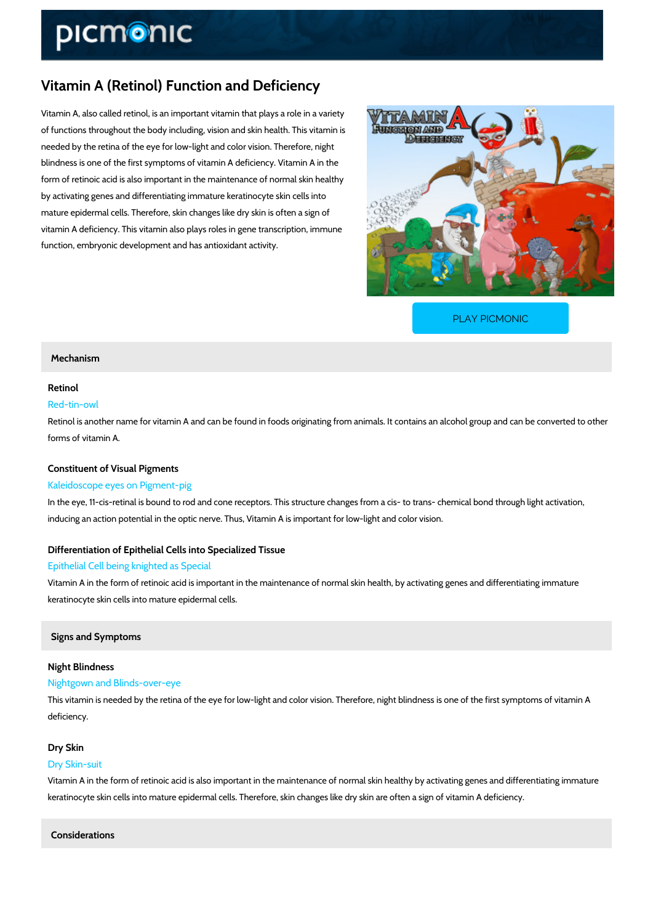# Vitamin A (Retinol) Function and Deficiency

Vitamin A, also called retinol, is an important vitamin that plays a role in a variety of functions throughout the body including, vision and skin health. This vitamin is needed by the retina of the eye for low-light and color vision. Therefore, night blindness is one of the first symptoms of vitamin A deficiency. Vitamin A in the form of retinoic acid is also important in the maintenance of normal skin healthy by activating genes and differentiating immature keratinocyte skin cells into mature epidermal cells. Therefore, skin changes like dry skin is often a sign of vitamin A deficiency. This vitamin also plays roles in gene transcription, immune function, embryonic development and has antioxidant activity.

[PLAY PICMONIC](https://www.picmonic.com/learn/vitamin-a-retinol-function-and-deficiency_328?utm_source=downloadable_content&utm_medium=distributedcontent&utm_campaign=pathways_pdf&utm_content=Vitamin A (Retinol) Function and Deficiency&utm_ad_group=leads&utm_market=all)

### Mechanism

## Retinol

# Red-tin-owl

Retinol is another name for vitamin A and can be found in foods originating from animals. It c forms of vitamin A.

#### Constituent of Visual Pigments

#### Kaleidoscope eyes on Pigment-pig

In the eye, 11-cis-retinal is bound to rod and cone receptors. This structure changes from a c inducing an action potential in the optic nerve. Thus, Vitamin A is important for low-light and

# Differentiation of Epithelial Cells into Specialized Tissue Epithelial Cell being knighted as Special

Vitamin A in the form of retinoic acid is important in the maintenance of normal skin health, b keratinocyte skin cells into mature epidermal cells.

### Signs and Symptoms

# Night Blindness

### Nightgown and Blinds-over-eye

This vitamin is needed by the retina of the eye for low-light and color vision. Therefore, night deficiency.

#### Dry Skin

#### Dry Skin-suit

Vitamin A in the form of retinoic acid is also important in the maintenance of normal skin hea keratinocyte skin cells into mature epidermal cells. Therefore, skin changes like dry skin are

Considerations